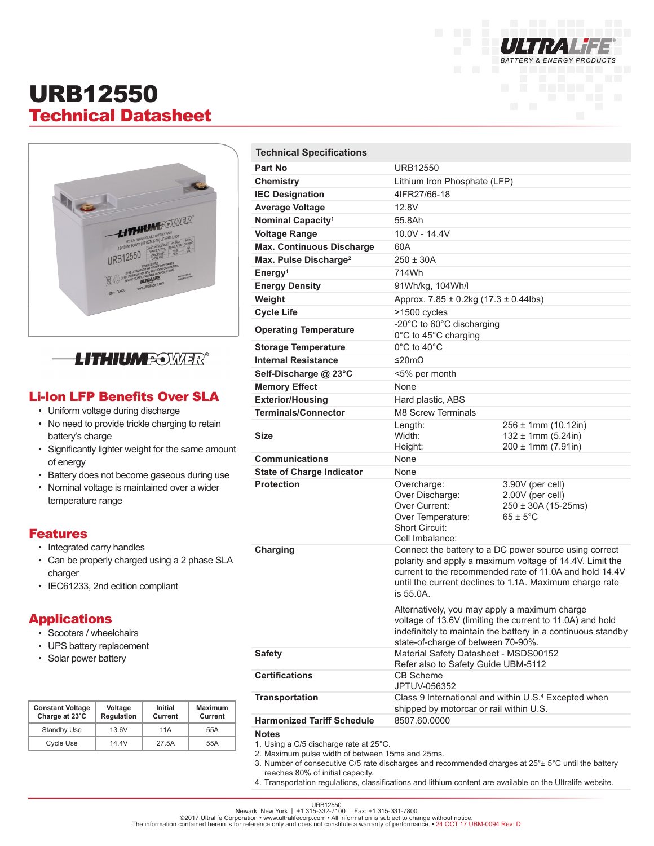

## URB12550 Technical Datasheet



**LITHIUM <del>R</del>OWIER®** 

### Li-Ion LFP Benefits Over SLA

- Uniform voltage during discharge
- No need to provide trickle charging to retain battery's charge
- Significantly lighter weight for the same amount of energy
- Battery does not become gaseous during use
- Nominal voltage is maintained over a wider temperature range

#### Features

- Integrated carry handles
- Can be properly charged using a 2 phase SLA charger
- IEC61233, 2nd edition compliant

#### **Applications**

- Scooters / wheelchairs
- UPS battery replacement
- Solar power battery

| <b>Constant Voltage</b><br>Charge at 23°C | Voltage<br><b>Regulation</b> | Initial<br>Current | <b>Maximum</b><br>Current |
|-------------------------------------------|------------------------------|--------------------|---------------------------|
| <b>Standby Use</b>                        | 13.6V                        | 11 A               | 55A                       |
| <b>Cycle Use</b>                          | 14 4V                        | 27.5A              | 55A                       |

| <b>Technical Specifications</b>                                                                           |                                                                                                                                                                                                                                                       |                                                                                         |  |
|-----------------------------------------------------------------------------------------------------------|-------------------------------------------------------------------------------------------------------------------------------------------------------------------------------------------------------------------------------------------------------|-----------------------------------------------------------------------------------------|--|
| Part No                                                                                                   | <b>URB12550</b>                                                                                                                                                                                                                                       |                                                                                         |  |
| Chemistry                                                                                                 | Lithium Iron Phosphate (LFP)                                                                                                                                                                                                                          |                                                                                         |  |
| <b>IEC Designation</b>                                                                                    | 4IFR27/66-18                                                                                                                                                                                                                                          |                                                                                         |  |
| <b>Average Voltage</b>                                                                                    | 12.8V                                                                                                                                                                                                                                                 |                                                                                         |  |
| Nominal Capacity <sup>1</sup>                                                                             | 55.8Ah                                                                                                                                                                                                                                                |                                                                                         |  |
| <b>Voltage Range</b>                                                                                      | 10.0V - 14.4V                                                                                                                                                                                                                                         |                                                                                         |  |
| <b>Max. Continuous Discharge</b>                                                                          | 60A                                                                                                                                                                                                                                                   |                                                                                         |  |
| Max. Pulse Discharge <sup>2</sup>                                                                         | $250 \pm 30A$                                                                                                                                                                                                                                         |                                                                                         |  |
| Energy <sup>1</sup>                                                                                       | 714Wh                                                                                                                                                                                                                                                 |                                                                                         |  |
| <b>Energy Density</b>                                                                                     | 91Wh/kg, 104Wh/l                                                                                                                                                                                                                                      |                                                                                         |  |
| Weight                                                                                                    | Approx. $7.85 \pm 0.2$ kg (17.3 $\pm$ 0.44lbs)                                                                                                                                                                                                        |                                                                                         |  |
| <b>Cycle Life</b>                                                                                         | >1500 cycles                                                                                                                                                                                                                                          |                                                                                         |  |
| <b>Operating Temperature</b>                                                                              | -20°C to 60°C discharging<br>0°C to 45°C charging                                                                                                                                                                                                     |                                                                                         |  |
| <b>Storage Temperature</b>                                                                                | $0^{\circ}$ C to 40 $^{\circ}$ C                                                                                                                                                                                                                      |                                                                                         |  |
| <b>Internal Resistance</b>                                                                                | ≤20mΩ                                                                                                                                                                                                                                                 |                                                                                         |  |
| Self-Discharge @ 23°C                                                                                     | <5% per month                                                                                                                                                                                                                                         |                                                                                         |  |
| <b>Memory Effect</b>                                                                                      | <b>None</b>                                                                                                                                                                                                                                           |                                                                                         |  |
| <b>Exterior/Housing</b>                                                                                   | Hard plastic, ABS                                                                                                                                                                                                                                     |                                                                                         |  |
| <b>Terminals/Connector</b>                                                                                | M8 Screw Terminals                                                                                                                                                                                                                                    |                                                                                         |  |
| <b>Size</b>                                                                                               | Length:<br>Width:<br>Height:                                                                                                                                                                                                                          | $256 \pm 1$ mm (10.12in)<br>$132 \pm 1$ mm (5.24in)<br>$200 \pm 1$ mm (7.91in)          |  |
| <b>Communications</b>                                                                                     | None                                                                                                                                                                                                                                                  |                                                                                         |  |
| <b>State of Charge Indicator</b>                                                                          | None                                                                                                                                                                                                                                                  |                                                                                         |  |
| <b>Protection</b>                                                                                         | Overcharge:<br>Over Discharge:<br>Over Current:<br>Over Temperature:<br><b>Short Circuit:</b><br>Cell Imbalance:                                                                                                                                      | 3.90V (per cell)<br>2.00V (per cell)<br>$250 \pm 30A (15-25ms)$<br>$65 \pm 5^{\circ}$ C |  |
| Charging                                                                                                  | Connect the battery to a DC power source using correct<br>polarity and apply a maximum voltage of 14.4V. Limit the<br>current to the recommended rate of 11,0A and hold 14,4V<br>until the current declines to 1.1A. Maximum charge rate<br>is 55.0A. |                                                                                         |  |
|                                                                                                           | Alternatively, you may apply a maximum charge<br>voltage of 13.6V (limiting the current to 11.0A) and hold<br>indefinitely to maintain the battery in a continuous standby<br>state-of-charge of between 70-90%.                                      |                                                                                         |  |
| <b>Safety</b>                                                                                             | Material Safety Datasheet - MSDS00152<br>Refer also to Safety Guide UBM-5112                                                                                                                                                                          |                                                                                         |  |
| <b>Certifications</b>                                                                                     | <b>CB Scheme</b><br>JPTUV-056352                                                                                                                                                                                                                      |                                                                                         |  |
| <b>Transportation</b>                                                                                     | Class 9 International and within U.S. <sup>4</sup> Excepted when<br>shipped by motorcar or rail within U.S.                                                                                                                                           |                                                                                         |  |
| <b>Harmonized Tariff Schedule</b>                                                                         | 8507.60.0000                                                                                                                                                                                                                                          |                                                                                         |  |
| <b>Notes</b><br>1. Using a C/5 discharge rate at 25°C.<br>2. Movimum pulso width of botwoon 15ms and 25ms |                                                                                                                                                                                                                                                       |                                                                                         |  |

- 2. Maximum pulse width of between 15ms and 25ms.
- 3. Number of consecutive C/5 rate discharges and recommended charges at 25°± 5°C until the battery reaches 80% of initial capacity.
- 4. Transportation regulations, classifications and lithium content are available on the Ultralife website.

URB12550<br>©2017 Ultralife Corporation • www.ultralifecorp.com • 1 -1 315-331-7800<br>The information contained herein is for reference only and does not constitute a warranty of performance. • 24 OCT 17 UBM-0094 Rev: D<br>The in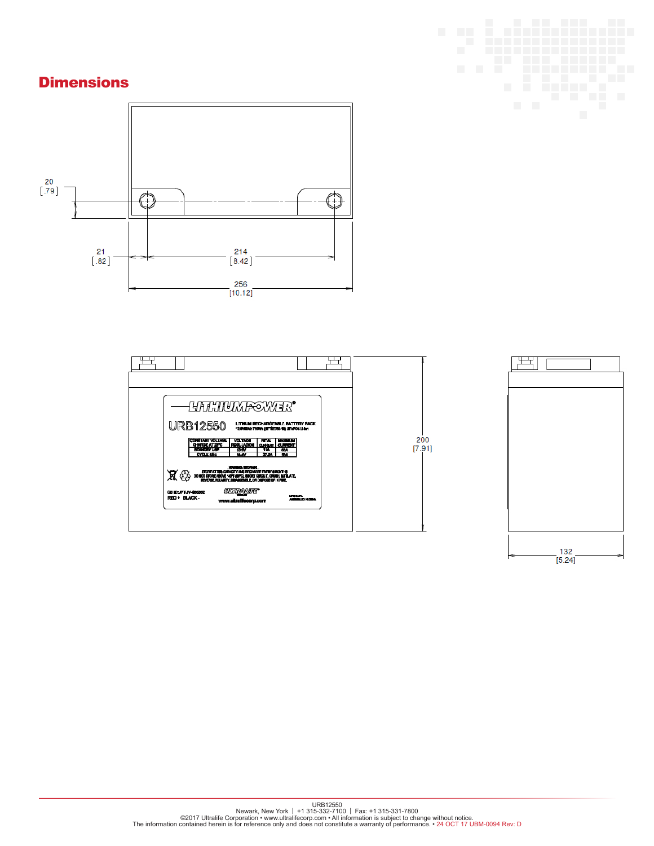### **Dimensions**